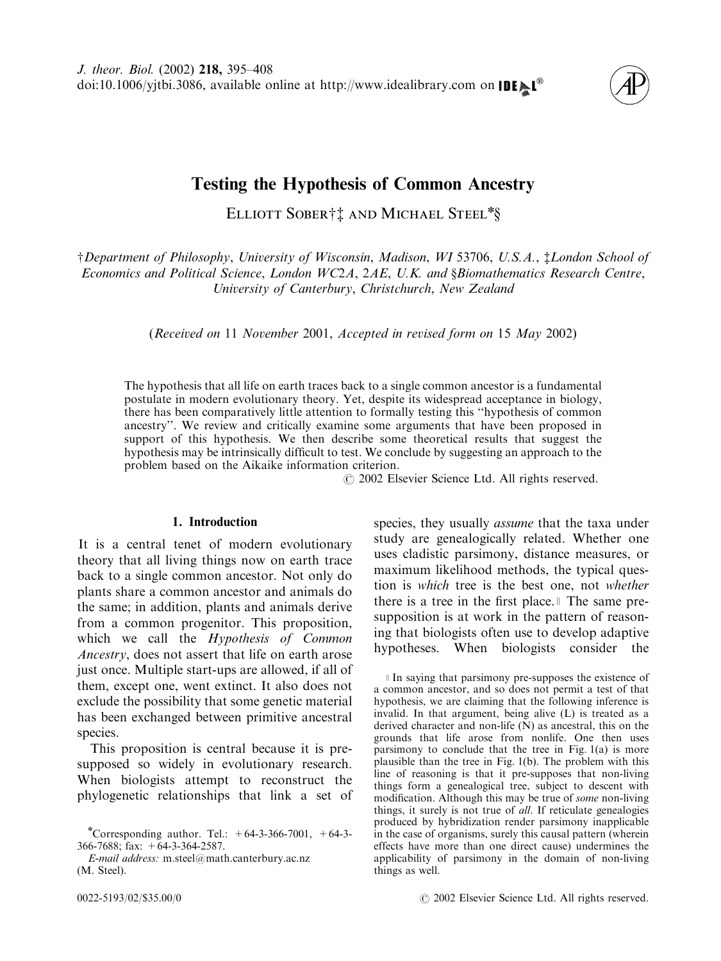# Testing the Hypothesis of Common Ancestry

ELLIOTT SOBER†İ AND MICHAEL STEEL\*§  $\ddot{\phantom{0}}$ 

†Department of Philosophy, University of Wisconsin, Madison, WI 53706, U.S.A., ‡London School of Economics and Political Science, London WC2A, 2AE, U.K. and §Biomathematics Research Centre, University of Canterbury, Christchurch, New Zealand

(Received on 11 November 2001, Accepted in revised form on 15 May 2002)

The hypothesis that all life on earth traces back to a single common ancestor is a fundamental postulate in modern evolutionary theory. Yet, despite its widespread acceptance in biology, there has been comparatively little attention to formally testing this ''hypothesis of common ancestry''. We review and critically examine some arguments that have been proposed in support of this hypothesis. We then describe some theoretical results that suggest the hypothesis may be intrinsically difficult to test. We conclude by suggesting an approach to the problem based on the Aikaike information criterion.

 $\odot$  2002 Elsevier Science Ltd. All rights reserved.

## 1. Introduction

It is a central tenet of modern evolutionary theory that all living things now on earth trace back to a single common ancestor. Not only do plants share a common ancestor and animals do the same; in addition, plants and animals derive from a common progenitor. This proposition, which we call the Hypothesis of Common Ancestry, does not assert that life on earth arose just once. Multiple start-ups are allowed, if all of them, except one, went extinct. It also does not exclude the possibility that some genetic material has been exchanged between primitive ancestral species.

This proposition is central because it is presupposed so widely in evolutionary research. When biologists attempt to reconstruct the phylogenetic relationships that link a set of

E-mail address: m.steel@math.canterbury.ac.nz (M. Steel).

species, they usually *assume* that the taxa under study are genealogically related. Whether one uses cladistic parsimony, distance measures, or maximum likelihood methods, the typical question is which tree is the best one, not whether there is a tree in the first place. $\parallel$  The same presupposition is at work in the pattern of reasoning that biologists often use to develop adaptive hypotheses. When biologists consider the

 $\parallel$  In saying that parsimony pre-supposes the existence of a common ancestor, and so does not permit a test of that hypothesis, we are claiming that the following inference is invalid. In that argument, being alive (L) is treated as a derived character and non-life (N) as ancestral, this on the grounds that life arose from nonlife. One then uses parsimony to conclude that the tree in Fig. 1(a) is more plausible than the tree in Fig. 1(b). The problem with this line of reasoning is that it pre-supposes that non-living things form a genealogical tree, subject to descent with modification. Although this may be true of some non-living things, it surely is not true of all. If reticulate genealogies produced by hybridization render parsimony inapplicable in the case of organisms, surely this causal pattern (wherein effects have more than one direct cause) undermines the applicability of parsimony in the domain of non-living things as well.

<sup>\*</sup>Corresponding author. Tel.:  $+64-3-366-7001$ ,  $+64-3-$ 366-7688; fax: +64-3-364-2587.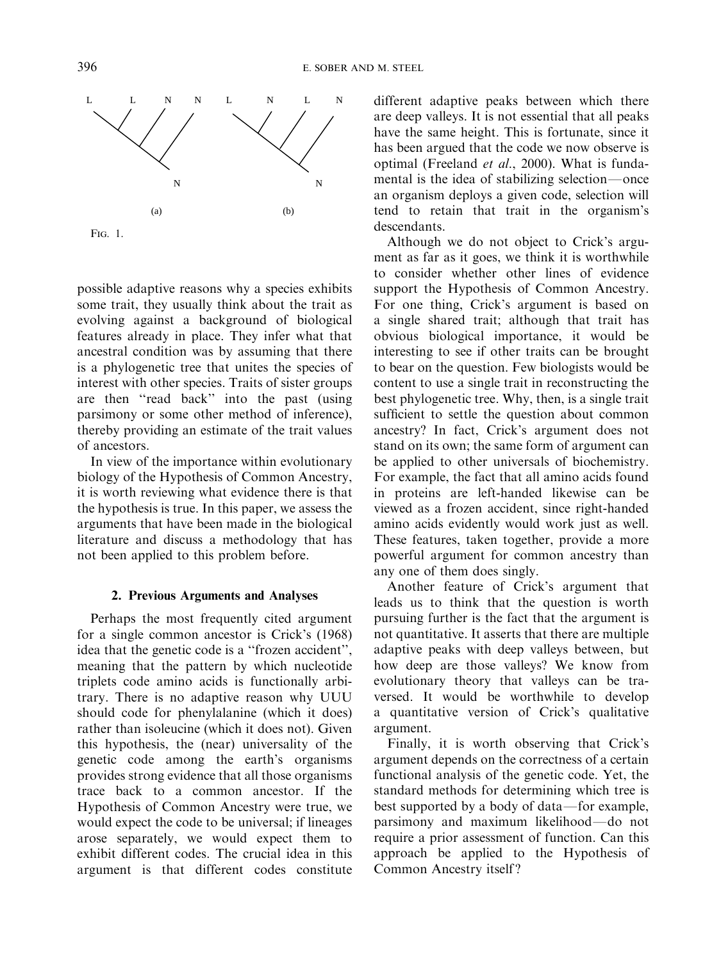

possible adaptive reasons why a species exhibits some trait, they usually think about the trait as evolving against a background of biological features already in place. They infer what that ancestral condition was by assuming that there is a phylogenetic tree that unites the species of interest with other species. Traits of sister groups are then ''read back'' into the past (using parsimony or some other method of inference), thereby providing an estimate of the trait values of ancestors.

In view of the importance within evolutionary biology of the Hypothesis of Common Ancestry, it is worth reviewing what evidence there is that the hypothesis is true. In this paper, we assess the arguments that have been made in the biological literature and discuss a methodology that has not been applied to this problem before.

#### 2. Previous Arguments and Analyses

Perhaps the most frequently cited argument for a single common ancestor is [Crick's \(1968\)](#page-12-0) idea that the genetic code is a ''frozen accident'', meaning that the pattern by which nucleotide triplets code amino acids is functionally arbitrary. There is no adaptive reason why UUU should code for phenylalanine (which it does) rather than isoleucine (which it does not). Given this hypothesis, the (near) universality of the genetic code among the earth's organisms provides strong evidence that all those organisms trace back to a common ancestor. If the Hypothesis of Common Ancestry were true, we would expect the code to be universal; if lineages arose separately, we would expect them to exhibit different codes. The crucial idea in this argument is that different codes constitute

different adaptive peaks between which there are deep valleys. It is not essential that all peaks have the same height. This is fortunate, since it has been argued that the code we now observe is optimal [\(Freeland](#page-12-0) et al., 2000). What is fundamental is the idea of stabilizing selection—once an organism deploys a given code, selection will tend to retain that trait in the organism's descendants.

Although we do not object to Crick's argument as far as it goes, we think it is worthwhile to consider whether other lines of evidence support the Hypothesis of Common Ancestry. For one thing, Crick's argument is based on a single shared trait; although that trait has obvious biological importance, it would be interesting to see if other traits can be brought to bear on the question. Few biologists would be content to use a single trait in reconstructing the best phylogenetic tree. Why, then, is a single trait sufficient to settle the question about common ancestry? In fact, Crick's argument does not stand on its own; the same form of argument can be applied to other universals of biochemistry. For example, the fact that all amino acids found in proteins are left-handed likewise can be viewed as a frozen accident, since right-handed amino acids evidently would work just as well. These features, taken together, provide a more powerful argument for common ancestry than any one of them does singly.

Another feature of Crick's argument that leads us to think that the question is worth pursuing further is the fact that the argument is not quantitative. It asserts that there are multiple adaptive peaks with deep valleys between, but how deep are those valleys? We know from evolutionary theory that valleys can be traversed. It would be worthwhile to develop a quantitative version of Crick's qualitative argument.

Finally, it is worth observing that Crick's argument depends on the correctness of a certain functional analysis of the genetic code. Yet, the standard methods for determining which tree is best supported by a body of data—for example, parsimony and maximum likelihood-do not require a prior assessment of function. Can this approach be applied to the Hypothesis of Common Ancestry itself ?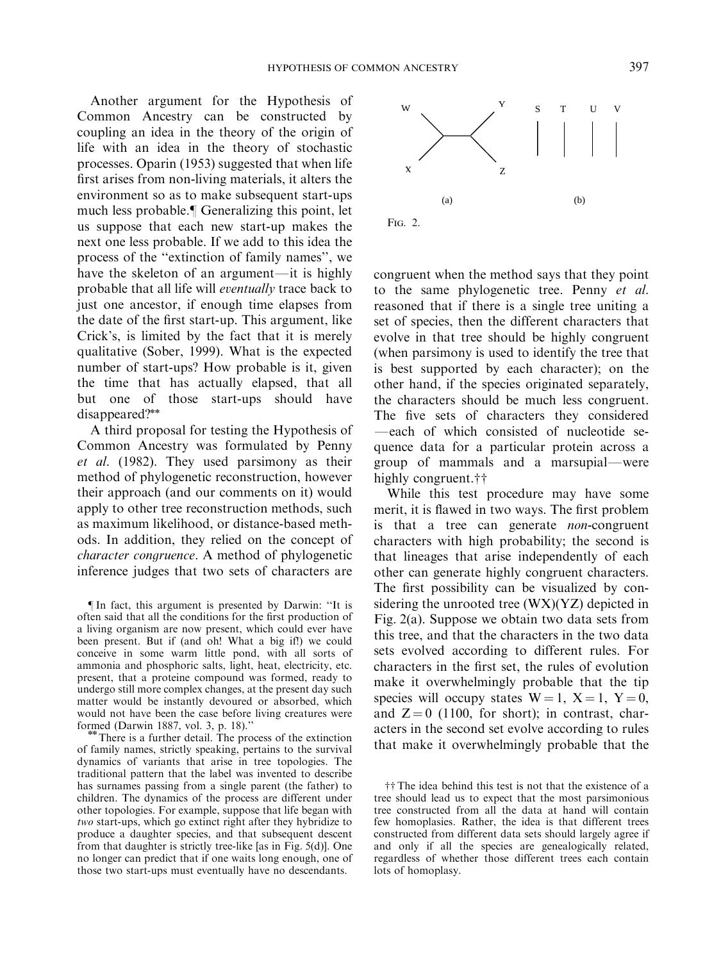<span id="page-2-0"></span>Another argument for the Hypothesis of Common Ancestry can be constructed by coupling an idea in the theory of the origin of life with an idea in the theory of stochastic processes. [Oparin \(1953\)](#page-12-0) suggested that when life first arises from non-living materials, it alters the environment so as to make subsequent start-ups much less probable. $\P$  Generalizing this point, let us suppose that each new start-up makes the next one less probable. If we add to this idea the process of the ''extinction of family names'', we have the skeleton of an argument—it is highly probable that all life will eventually trace back to just one ancestor, if enough time elapses from the date of the first start-up. This argument, like Crick's, is limited by the fact that it is merely qualitative [\(Sober, 1999\)](#page-12-0). What is the expected number of start-ups? How probable is it, given the time that has actually elapsed, that all but one of those start-ups should have disappeared?\*\*

A third proposal for testing the Hypothesis of Common Ancestry was formulated by [Penny](#page-12-0) et al[. \(1982\).](#page-12-0) They used parsimony as their method of phylogenetic reconstruction, however their approach (and our comments on it) would apply to other tree reconstruction methods, such as maximum likelihood, or distance-based methods. In addition, they relied on the concept of character congruence. A method of phylogenetic inference judges that two sets of characters are

of family names, strictly speaking, pertains to the survival dynamics of variants that arise in tree topologies. The traditional pattern that the label was invented to describe has surnames passing from a single parent (the father) to children. The dynamics of the process are different under other topologies. For example, suppose that life began with two start-ups, which go extinct right after they hybridize to produce a daughter species, and that subsequent descent from that daughter is strictly tree-like [as in Fig. 5(d)]. One no longer can predict that if one waits long enough, one of those two start-ups must eventually have no descendants.



congruent when the method says that they point to the same phylogenetic tree. Penny et al. reasoned that if there is a single tree uniting a set of species, then the different characters that evolve in that tree should be highly congruent (when parsimony is used to identify the tree that is best supported by each character); on the other hand, if the species originated separately, the characters should be much less congruent. The five sets of characters they considered -each of which consisted of nucleotide sequence data for a particular protein across a group of mammals and a marsupial-were highly congruent. $\ddagger \ddagger$ 

While this test procedure may have some merit, it is flawed in two ways. The first problem is that a tree can generate non-congruent characters with high probability; the second is that lineages that arise independently of each other can generate highly congruent characters. The first possibility can be visualized by considering the unrooted tree (WX)(YZ) depicted in Fig. 2(a). Suppose we obtain two data sets from this tree, and that the characters in the two data sets evolved according to different rules. For characters in the first set, the rules of evolution make it overwhelmingly probable that the tip species will occupy states  $W = 1$ ,  $X = 1$ ,  $Y = 0$ , and  $Z = 0$  (1100, for short); in contrast, characters in the second set evolve according to rules that make it overwhelmingly probable that the

In fact, this argument is presented by Darwin: "It is often said that all the conditions for the first production of a living organism are now present, which could ever have been present. But if (and oh! What a big if!) we could conceive in some warm little pond, with all sorts of ammonia and phosphoric salts, light, heat, electricity, etc. present, that a proteine compound was formed, ready to undergo still more complex changes, at the present day such matter would be instantly devoured or absorbed, which would not have been the case before living creatures were formed (Darwin 1887, vol. 3, p. 18)."<br>
<sup>\*\*</sup>There is a further detail. The process of the extinction

<sup>&</sup>lt;sup>††</sup>The idea behind this test is not that the existence of a tree should lead us to expect that the most parsimonious tree constructed from all the data at hand will contain few homoplasies. Rather, the idea is that different trees constructed from different data sets should largely agree if and only if all the species are genealogically related, regardless of whether those different trees each contain lots of homoplasy.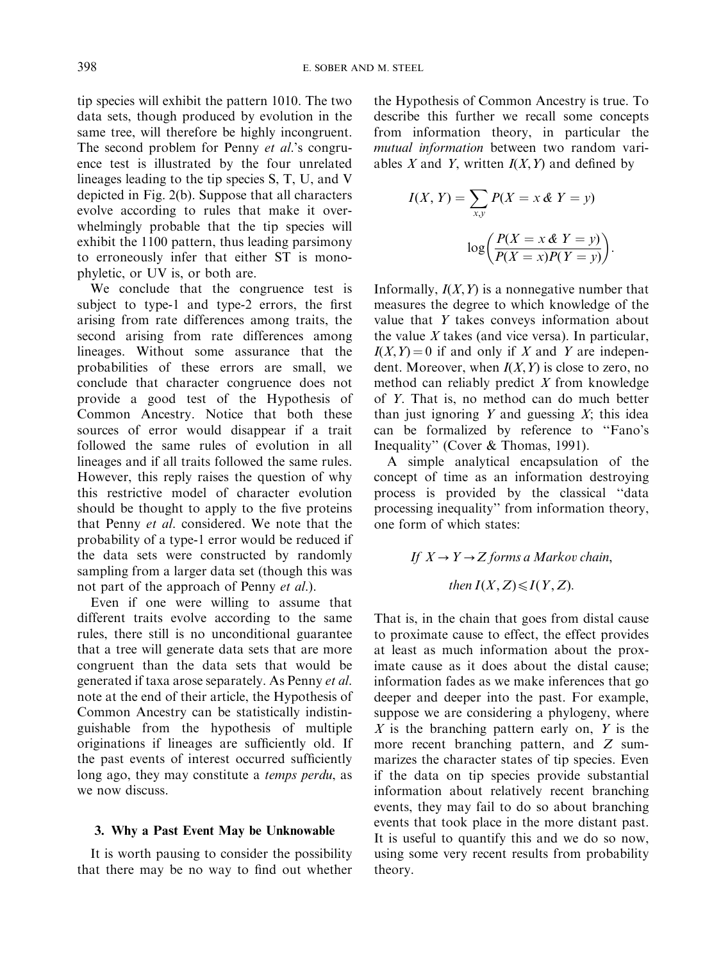tip species will exhibit the pattern 1010. The two data sets, though produced by evolution in the same tree, will therefore be highly incongruent. The second problem for Penny et al.'s congruence test is illustrated by the four unrelated lineages leading to the tip species S, T, U, and V depicted in [Fig. 2\(b\).](#page-2-0) Suppose that all characters evolve according to rules that make it overwhelmingly probable that the tip species will exhibit the 1100 pattern, thus leading parsimony to erroneously infer that either ST is monophyletic, or UV is, or both are.

We conclude that the congruence test is subject to type-1 and type-2 errors, the first arising from rate differences among traits, the second arising from rate differences among lineages. Without some assurance that the probabilities of these errors are small, we conclude that character congruence does not provide a good test of the Hypothesis of Common Ancestry. Notice that both these sources of error would disappear if a trait followed the same rules of evolution in all lineages and if all traits followed the same rules. However, this reply raises the question of why this restrictive model of character evolution should be thought to apply to the five proteins that Penny et al. considered. We note that the probability of a type-1 error would be reduced if the data sets were constructed by randomly sampling from a larger data set (though this was not part of the approach of Penny et al.).

Even if one were willing to assume that different traits evolve according to the same rules, there still is no unconditional guarantee that a tree will generate data sets that are more congruent than the data sets that would be generated if taxa arose separately. As Penny et al. note at the end of their article, the Hypothesis of Common Ancestry can be statistically indistinguishable from the hypothesis of multiple originations if lineages are sufficiently old. If the past events of interest occurred sufficiently long ago, they may constitute a temps perdu, as we now discuss.

#### 3. Why a Past Event May be Unknowable

It is worth pausing to consider the possibility that there may be no way to find out whether

the Hypothesis of Common Ancestry is true. To describe this further we recall some concepts from information theory, in particular the mutual information between two random variables  $X$  and  $Y$ , written  $I(X, Y)$  and defined by

$$
I(X, Y) = \sum_{x,y} P(X = x \& Y = y)
$$
\n
$$
\log \left( \frac{P(X = x \& Y = y)}{P(X = x)P(Y = y)} \right).
$$

Informally,  $I(X, Y)$  is a nonnegative number that measures the degree to which knowledge of the value that Y takes conveys information about the value  $X$  takes (and vice versa). In particular,  $I(X, Y) = 0$  if and only if X and Y are independent. Moreover, when  $I(X, Y)$  is close to zero, no method can reliably predict  $X$  from knowledge of Y. That is, no method can do much better than just ignoring  $Y$  and guessing  $X$ ; this idea can be formalized by reference to ''Fano's Inequality'' [\(Cover& Thomas, 1991\).](#page-12-0)

A simple analytical encapsulation of the concept of time as an information destroying process is provided by the classical ''data processing inequality'' from information theory, one form of which states:

If 
$$
X \to Y \to Z
$$
 forms a Markov chain,  
then  $I(X, Z) \leq I(Y, Z)$ .

That is, in the chain that goes from distal cause to proximate cause to effect, the effect provides at least as much information about the proximate cause as it does about the distal cause; information fades as we make inferences that go deeper and deeper into the past. For example, suppose we are considering a phylogeny, where  $X$  is the branching pattern early on,  $Y$  is the more recent branching pattern, and  $Z$  summarizes the character states of tip species. Even if the data on tip species provide substantial information about relatively recent branching events, they may fail to do so about branching events that took place in the more distant past. It is useful to quantify this and we do so now, using some very recent results from probability theory.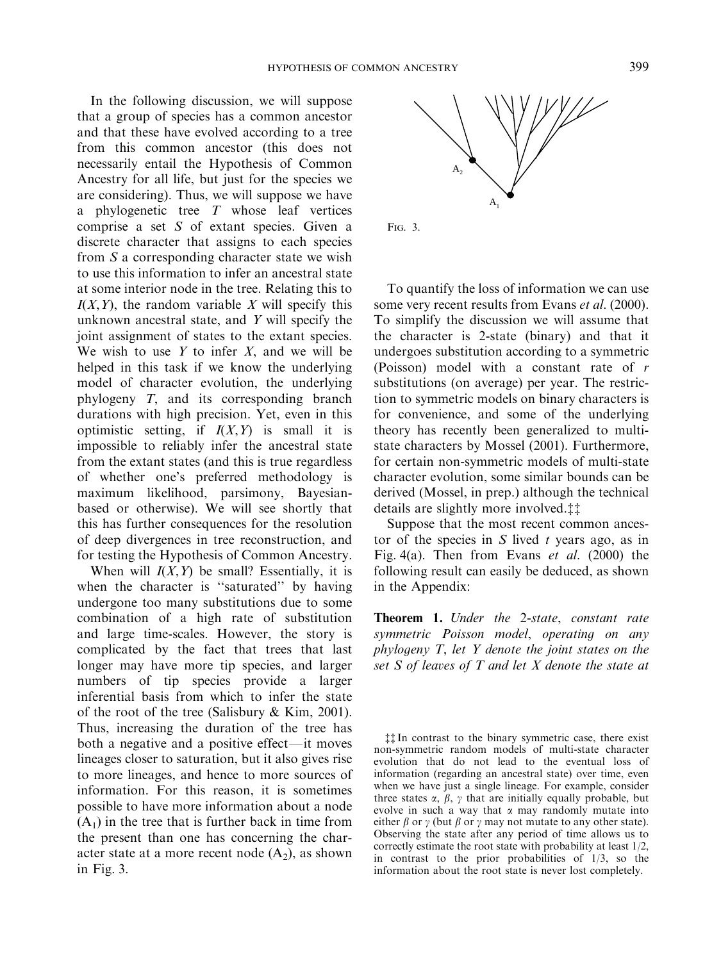In the following discussion, we will suppose that a group of species has a common ancestor and that these have evolved according to a tree from this common ancestor (this does not necessarily entail the Hypothesis of Common Ancestry for all life, but just for the species we are considering). Thus, we will suppose we have a phylogenetic tree  $T$  whose leaf vertices comprise a set S of extant species. Given a discrete character that assigns to each species from S a corresponding character state we wish to use this information to infer an ancestral state at some interior node in the tree. Relating this to  $I(X, Y)$ , the random variable X will specify this unknown ancestral state, and Y will specify the joint assignment of states to the extant species. We wish to use  $Y$  to infer  $X$ , and we will be helped in this task if we know the underlying model of character evolution, the underlying phylogeny T, and its corresponding branch durations with high precision. Yet, even in this optimistic setting, if  $I(X, Y)$  is small it is impossible to reliably infer the ancestral state from the extant states (and this is true regardless of whether one's preferred methodology is maximum likelihood, parsimony, Bayesianbased or otherwise). We will see shortly that this has further consequences for the resolution of deep divergences in tree reconstruction, and for testing the Hypothesis of Common Ancestry.

When will  $I(X, Y)$  be small? Essentially, it is when the character is "saturated" by having undergone too many substitutions due to some combination of a high rate of substitution and large time-scales. However, the story is complicated by the fact that trees that last longer may have more tip species, and larger numbers of tip species provide a larger inferential basis from which to infer the state of the root of the tree [\(Salisbury & Kim, 2001\)](#page-12-0). Thus, increasing the duration of the tree has both a negative and a positive effect—it moves lineages closer to saturation, but it also gives rise to more lineages, and hence to more sources of information. For this reason, it is sometimes possible to have more information about a node  $(A<sub>1</sub>)$  in the tree that is further back in time from the present than one has concerning the character state at a more recent node  $(A_2)$ , as shown in Fig. 3.





To quantify the loss of information we can use some very recent results from Evans *et al.* (2000). To simplify the discussion we will assume that the character is 2-state (binary) and that it undergoes substitution according to a symmetric (Poisson) model with a constant rate of r substitutions (on average) per year. The restriction to symmetric models on binary characters is for convenience, and some of the underlying theory has recently been generalized to multistate characters by [Mossel \(2001\).](#page-12-0) Furthermore, for certain non-symmetric models of multi-state character evolution, some similar bounds can be derived (Mossel, in prep.) although the technical details are slightly more involved.<sup>†</sup>

Suppose that the most recent common ancestor of the species in S lived  $t$  years ago, as in [Fig. 4\(a\).](#page-5-0) Then from Evans *et al.* (2000) the following result can easily be deduced, as shown in the Appendix:

Theorem 1. Under the 2-state, constant rate symmetric Poisson model, operating on any  $phylogeny$  T, let Y denote the joint states on the set  $S$  of leaves of  $T$  and let  $X$  denote the state at

 $\ddagger$  In contrast to the binary symmetric case, there exist non-symmetric random models of multi-state character evolution that do not lead to the eventual loss of information (regarding an ancestral state) over time, even when we have just a single lineage. For example, consider three states  $\alpha$ ,  $\beta$ ,  $\gamma$  that are initially equally probable, but evolve in such a way that  $\alpha$  may randomly mutate into either  $\beta$  or  $\gamma$  (but  $\beta$  or  $\gamma$  may not mutate to any other state). Observing the state after any period of time allows us to correctly estimate the root state with probability at least 1/2, in contrast to the prior probabilities of 1/3, so the information about the root state is never lost completely.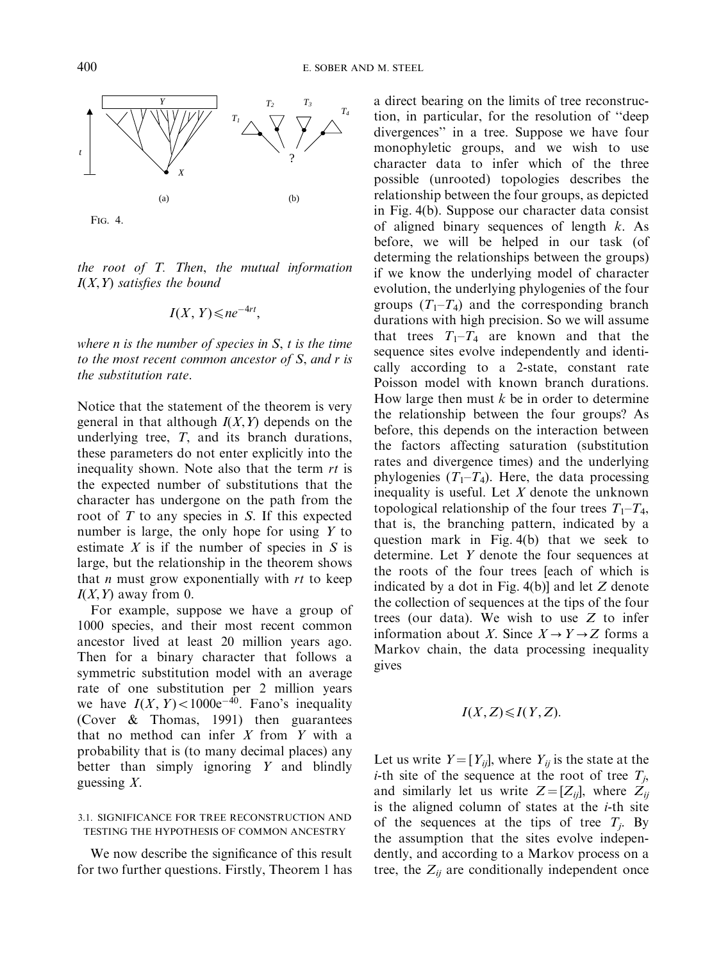<span id="page-5-0"></span>



the root of T. Then, the mutual information  $I(X, Y)$  satisfies the bound

$$
I(X, Y) \leq n e^{-4rt}
$$

where  $n$  is the number of species in  $S$ ,  $t$  is the time to the most recent common ancestor of S, and r is the substitution rate.

Notice that the statement of the theorem is very general in that although  $I(X, Y)$  depends on the underlying tree,  $T$ , and its branch durations, these parameters do not enter explicitly into the inequality shown. Note also that the term rt is the expected number of substitutions that the character has undergone on the path from the root of  $T$  to any species in  $S$ . If this expected number is large, the only hope for using  $Y$  to estimate X is if the number of species in  $S$  is large, but the relationship in the theorem shows that  $n$  must grow exponentially with  $rt$  to keep  $I(X, Y)$  away from 0.

For example, suppose we have a group of 1000 species, and their most recent common ancestor lived at least 20 million years ago. Then for a binary character that follows a symmetric substitution model with an average rate of one substitution per 2 million years we have  $I(X, Y) < 1000e^{-40}$ . Fano's inequality [\(Cover& Thomas, 1991\)](#page-12-0) then guarantees that no method can infer  $X$  from  $Y$  with a probability that is (to many decimal places) any better than simply ignoring  $Y$  and blindly guessing X.

## 3.1. SIGNIFICANCE FOR TREE RECONSTRUCTION AND TESTING THE HYPOTHESIS OF COMMON ANCESTRY

We now describe the significance of this result for two further questions. Firstly, Theorem 1 has

a direct bearing on the limits of tree reconstruction, in particular, for the resolution of ''deep divergences'' in a tree. Suppose we have four monophyletic groups, and we wish to use character data to infer which of the three possible (unrooted) topologies describes the relationship between the four groups, as depicted in Fig. 4(b). Suppose our character data consist of aligned binary sequences of length  $k$ . As before, we will be helped in our task (of determing the relationships between the groups) if we know the underlying model of character evolution, the underlying phylogenies of the four groups  $(T_1-T_4)$  and the corresponding branch durations with high precision. So we will assume that trees  $T_1 - T_4$  are known and that the sequence sites evolve independently and identically according to a 2-state, constant rate Poisson model with known branch durations. How large then must  $k$  be in order to determine the relationship between the four groups? As before, this depends on the interaction between the factors affecting saturation (substitution rates and divergence times) and the underlying phylogenies  $(T_1-T_4)$ . Here, the data processing inequality is useful. Let  $X$  denote the unknown topological relationship of the four trees  $T_1-T_4$ , that is, the branching pattern, indicated by a question mark in Fig. 4(b) that we seek to determine. Let  $Y$  denote the four sequences at the roots of the four trees [each of which is indicated by a dot in Fig.  $4(b)$ ] and let Z denote the collection of sequences at the tips of the four trees (our data). We wish to use Z to infer information about X. Since  $X \rightarrow Y \rightarrow Z$  forms a Markov chain, the data processing inequality gives

## $I(X,Z) \leq I(Y,Z)$ .

Let us write  $Y = [Y_{ij}]$ , where  $Y_{ij}$  is the state at the *i*-th site of the sequence at the root of tree  $T_i$ , and similarly let us write  $Z = [Z_{ij}]$ , where  $Z_{ij}$ is the aligned column of states at the  $i$ -th site of the sequences at the tips of tree  $T_i$ . By the assumption that the sites evolve independently, and according to a Markov process on a tree, the  $Z_{ij}$  are conditionally independent once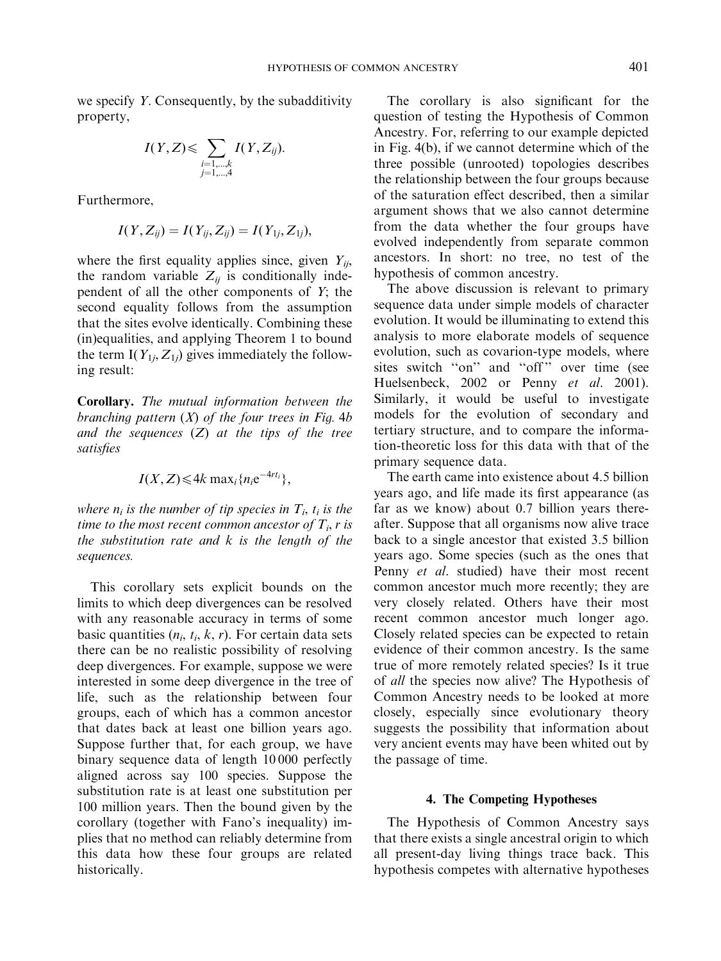we specify Y. Consequently, by the subadditivity property,

$$
I(Y,Z) \leqslant \sum_{\substack{i=1,\ldots,k \\ j=1,\ldots,4}} I(Y,Z_{ij}).
$$

Furthermore,

$$
I(Y, Z_{ij}) = I(Y_{ij}, Z_{ij}) = I(Y_{1j}, Z_{1j}),
$$

where the first equality applies since, given  $Y_{ii}$ , the random variable  $Z_{ii}$  is conditionally independent of all the other components of  $Y$ ; the second equality follows from the assumption that the sites evolve identically. Combining these (in)equalities, and applying Theorem 1 to bound the term  $I(Y_{1i}, Z_{1i})$  gives immediately the following result:

Corollary. The mutual information between the branching pattern  $(X)$  of the four trees in Fig. 4b and the sequences  $(Z)$  at the tips of the tree satisfies

$$
I(X,Z) \leq 4k \max_i \{n_i e^{-4rt_i}\},
$$

where  $n_i$  is the number of tip species in  $T_i$ ,  $t_i$  is the time to the most recent common ancestor of  $T_i$ , r is the substitution rate and  $k$  is the length of the sequences.

This corollary sets explicit bounds on the limits to which deep divergences can be resolved with any reasonable accuracy in terms of some basic quantities  $(n_i, t_i, k, r)$ . For certain data sets there can be no realistic possibility of resolving deep divergences. For example, suppose we were interested in some deep divergence in the tree of life, such as the relationship between four groups, each of which has a common ancestor that dates back at least one billion years ago. Suppose further that, for each group, we have binary sequence data of length 10 000 perfectly aligned across say 100 species. Suppose the substitution rate is at least one substitution per 100 million years. Then the bound given by the corollary (together with Fano's inequality) implies that no method can reliably determine from this data how these four groups are related historically.

The corollary is also significant for the question of testing the Hypothesis of Common Ancestry. For, referring to our example depicted in [Fig. 4\(b\),](#page-5-0) if we cannot determine which of the three possible (unrooted) topologies describes the relationship between the four groups because of the saturation effect described, then a similar argument shows that we also cannot determine from the data whether the four groups have evolved independently from separate common ancestors. In short: no tree, no test of the hypothesis of common ancestry.

The above discussion is relevant to primary sequence data under simple models of character evolution. It would be illuminating to extend this analysis to more elaborate models of sequence evolution, such as covarion-type models, where sites switch "on" and "off" over time (see [Huelsenbeck, 2002](#page-12-0) or Penny et al[. 2001\)](#page-12-0). Similarly, it would be useful to investigate models for the evolution of secondary and tertiary structure, and to compare the information-theoretic loss for this data with that of the primary sequence data.

The earth came into existence about 4.5 billion years ago, and life made its first appearance (as far as we know) about 0.7 billion years thereafter. Suppose that all organisms now alive trace back to a single ancestor that existed 3.5 billion years ago. Some species (such as the ones that Penny et al. studied) have their most recent common ancestor much more recently; they are very closely related. Others have their most recent common ancestor much longer ago. Closely related species can be expected to retain evidence of their common ancestry. Is the same true of more remotely related species? Is it true of all the species now alive? The Hypothesis of Common Ancestry needs to be looked at more closely, especially since evolutionary theory suggests the possibility that information about very ancient events may have been whited out by the passage of time.

## 4. The Competing Hypotheses

The Hypothesis of Common Ancestry says that there exists a single ancestral origin to which all present-day living things trace back. This hypothesis competes with alternative hypotheses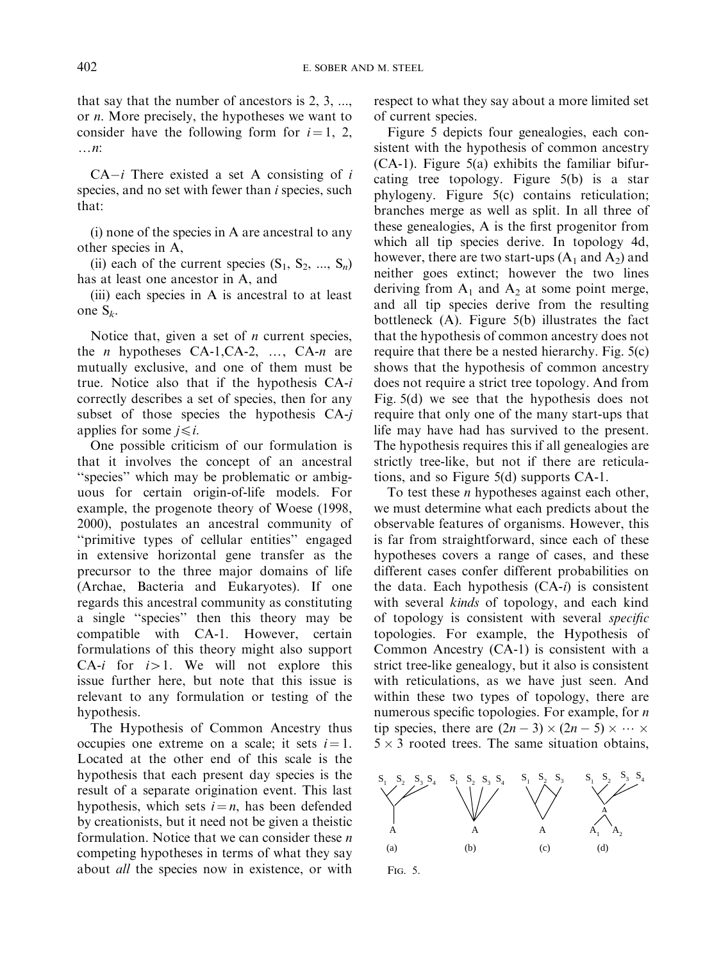that say that the number of ancestors is  $2, 3, \ldots$ , or n. More precisely, the hypotheses we want to consider have the following form for  $i = 1, 2, ...$  $\ldots$ n:

 $CA-i$  There existed a set A consisting of i species, and no set with fewer than *i* species, such that:

(i) none of the species in A are ancestral to any other species in A,

(ii) each of the current species  $(S_1, S_2, ..., S_n)$ has at least one ancestor in A, and

(iii) each species in A is ancestral to at least one  $S_k$ .

Notice that, given a set of  $n$  current species, the *n* hypotheses CA-1, CA-2,  $\ldots$ , CA-*n* are mutually exclusive, and one of them must be true. Notice also that if the hypothesis CA-i correctly describes a set of species, then for any subset of those species the hypothesis CA-j applies for some  $i \leq i$ .

One possible criticism of our formulation is that it involves the concept of an ancestral ''species'' which may be problematic or ambiguous for certain origin-of-life models. For example, the progenote theory of [Woese \(1998,](#page-12-0) [2000\)](#page-12-0), postulates an ancestral community of ''primitive types of cellular entities'' engaged in extensive horizontal gene transfer as the precursor to the three major domains of life (Archae, Bacteria and Eukaryotes). If one regards this ancestral community as constituting a single ''species'' then this theory may be compatible with CA-1. However, certain formulations of this theory might also support CA-i for  $i>1$ . We will not explore this issue further here, but note that this issue is relevant to any formulation or testing of the hypothesis.

The Hypothesis of Common Ancestry thus occupies one extreme on a scale; it sets  $i = 1$ . Located at the other end of this scale is the hypothesis that each present day species is the result of a separate origination event. This last hypothesis, which sets  $i = n$ , has been defended by creationists, but it need not be given a theistic formulation. Notice that we can consider these  $n$ competing hypotheses in terms of what they say about *all* the species now in existence, or with

respect to what they say about a more limited set of current species.

Figure 5 depicts four genealogies, each consistent with the hypothesis of common ancestry (CA-1). Figure 5(a) exhibits the familiar bifurcating tree topology. Figure 5(b) is a star phylogeny. Figure 5(c) contains reticulation; branches merge as well as split. In all three of these genealogies, A is the first progenitor from which all tip species derive. In topology 4d, however, there are two start-ups  $(A_1 \text{ and } A_2)$  and neither goes extinct; however the two lines deriving from  $A_1$  and  $A_2$  at some point merge, and all tip species derive from the resulting bottleneck (A). Figure 5(b) illustrates the fact that the hypothesis of common ancestry does not require that there be a nested hierarchy. Fig. 5(c) shows that the hypothesis of common ancestry does not require a strict tree topology. And from Fig. 5(d) we see that the hypothesis does not require that only one of the many start-ups that life may have had has survived to the present. The hypothesis requires this if all genealogies are strictly tree-like, but not if there are reticulations, and so Figure 5(d) supports CA-1.

To test these *n* hypotheses against each other, we must determine what each predicts about the observable features of organisms. However, this is far from straightforward, since each of these hypotheses covers a range of cases, and these different cases confer different probabilities on the data. Each hypothesis  $(CA-i)$  is consistent with several *kinds* of topology, and each kind of topology is consistent with several specific topologies. For example, the Hypothesis of Common Ancestry (CA-1) is consistent with a strict tree-like genealogy, but it also is consistent with reticulations, as we have just seen. And within these two types of topology, there are numerous specific topologies. For example, for  $n$ tip species, there are  $(2n - 3) \times (2n - 5) \times \cdots \times$  $5 \times 3$  rooted trees. The same situation obtains,

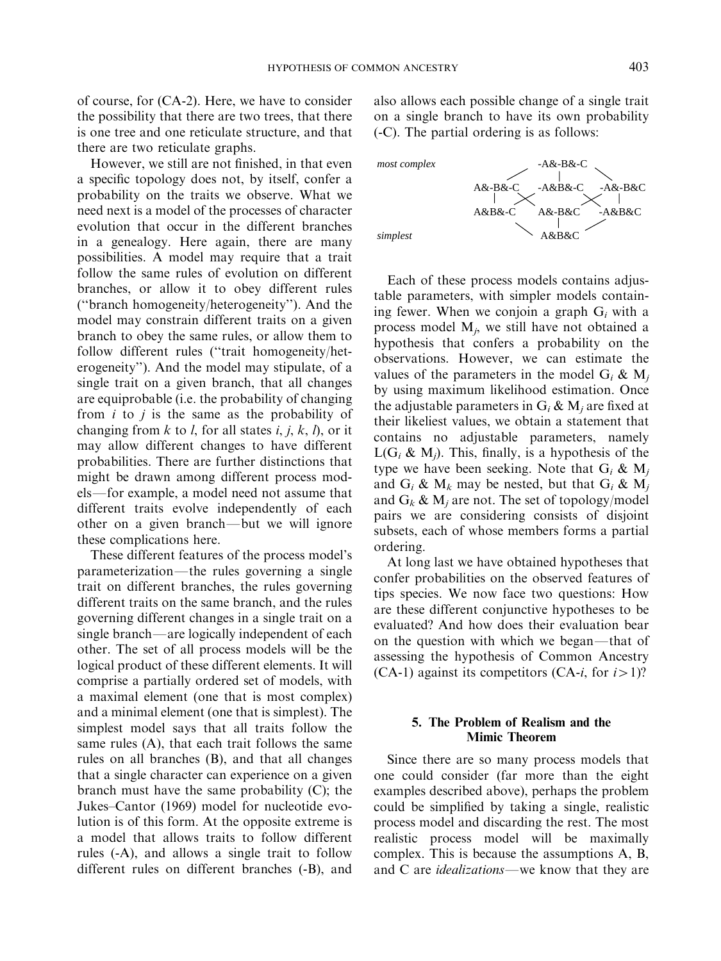of course, for (CA-2). Here, we have to consider the possibility that there are two trees, that there is one tree and one reticulate structure, and that there are two reticulate graphs.

However, we still are not finished, in that even a specific topology does not, by itself, confera probability on the traits we observe. What we need next is a model of the processes of character evolution that occur in the different branches in a genealogy. Here again, there are many possibilities. A model may require that a trait follow the same rules of evolution on different branches, or allow it to obey different rules (''branch homogeneity/heterogeneity''). And the model may constrain different traits on a given branch to obey the same rules, or allow them to follow different rules ("trait homogeneity/heterogeneity''). And the model may stipulate, of a single trait on a given branch, that all changes are equiprobable (i.e. the probability of changing from  $i$  to  $j$  is the same as the probability of changing from  $k$  to  $l$ , for all states  $i, j, k, l$ , or it may allow different changes to have different probabilities. There are further distinctions that might be drawn among different process models—for example, a model need not assume that different traits evolve independently of each other on a given branch—but we will ignore these complications here.

These different features of the process model's parameterization—the rules governing a single trait on different branches, the rules governing different traits on the same branch, and the rules governing different changes in a single trait on a single branch—are logically independent of each other. The set of all process models will be the logical product of these different elements. It will comprise a partially ordered set of models, with a maximal element (one that is most complex) and a minimal element (one that is simplest). The simplest model says that all traits follow the same rules (A), that each trait follows the same rules on all branches (B), and that all changes that a single character can experience on a given branch must have the same probability (C); the Jukes–Cantor (1969) model for nucleotide evolution is of this form. At the opposite extreme is a model that allows traits to follow different rules (-A), and allows a single trait to follow different rules on different branches (-B), and also allows each possible change of a single trait on a single branch to have its own probability (-C). The partial ordering is as follows:



Each of these process models contains adjustable parameters, with simpler models containing fewer. When we conjoin a graph  $G_i$  with a process model  $M_i$ , we still have not obtained a hypothesis that confers a probability on the observations. However, we can estimate the values of the parameters in the model  $G_i$  &  $M_i$ by using maximum likelihood estimation. Once the adjustable parameters in  $G_i \& M_i$  are fixed at their likeliest values, we obtain a statement that contains no adjustable parameters, namely  $L(G_i \& M_i)$ . This, finally, is a hypothesis of the type we have been seeking. Note that  $G_i \& M_j$ and  $G_i$  &  $M_k$  may be nested, but that  $G_i$  &  $M_i$ and  $G_k \& M_i$  are not. The set of topology/model pairs we are considering consists of disjoint subsets, each of whose members forms a partial ordering.

At long last we have obtained hypotheses that confer probabilities on the observed features of tips species. We now face two questions: How are these different conjunctive hypotheses to be evaluated? And how does their evaluation bear on the question with which we began—that of assessing the hypothesis of Common Ancestry (CA-1) against its competitors (CA-*i*, for  $i>1$ )?

## 5. The Problem of Realism and the Mimic Theorem

Since there are so many process models that one could consider (far more than the eight examples described above), perhaps the problem could be simplified by taking a single, realistic process model and discarding the rest. The most realistic process model will be maximally complex. This is because the assumptions A, B, and C are *idealizations*—we know that they are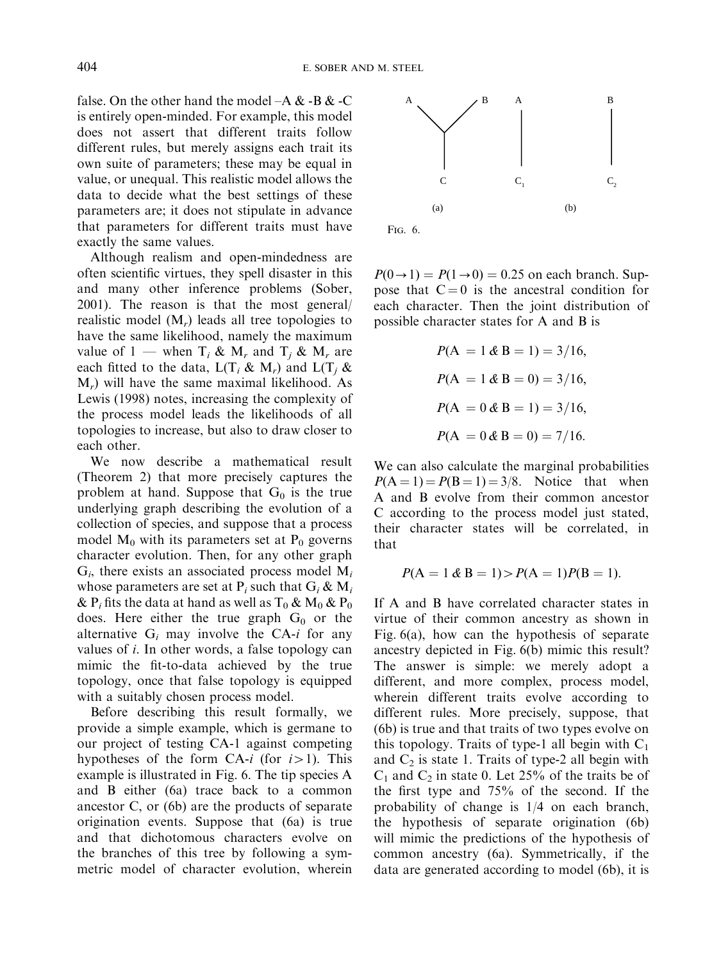<span id="page-9-0"></span>false. On the other hand the model  $-A \& B \& -C$ is entirely open-minded. For example, this model does not assert that different traits follow different rules, but merely assigns each trait its own suite of parameters; these may be equal in value, or unequal. This realistic model allows the data to decide what the best settings of these parameters are; it does not stipulate in advance that parameters for different traits must have exactly the same values.

Although realism and open-mindedness are often scientific virtues, they spell disaster in this and many other inference problems (Sober, 2001). The reason is that the most general/ realistic model  $(M_r)$  leads all tree topologies to have the same likelihood, namely the maximum value of 1 – when  $T_i$  & M<sub>r</sub> and  $T_i$  & M<sub>r</sub> are each fitted to the data,  $L(T_i \& M_r)$  and  $L(T_i \&$  $M_r$ ) will have the same maximal likelihood. As [Lewis \(1998\)](#page-12-0) notes, increasing the complexity of the process model leads the likelihoods of all topologies to increase, but also to draw closer to each other.

We now describe a mathematical result (Theorem 2) that more precisely captures the problem at hand. Suppose that  $G_0$  is the true underlying graph describing the evolution of a collection of species, and suppose that a process model  $M_0$  with its parameters set at  $P_0$  governs character evolution. Then, for any other graph  $G_i$ , there exists an associated process model  $M_i$ whose parameters are set at  $P_i$  such that  $G_i \& M_i$ &  $P_i$  fits the data at hand as well as  $T_0$  &  $M_0$  &  $P_0$ does. Here either the true graph  $G_0$  or the alternative  $G_i$  may involve the CA-i for any values of  $i$ . In other words, a false topology can mimic the fit-to-data achieved by the true topology, once that false topology is equipped with a suitably chosen process model.

Before describing this result formally, we provide a simple example, which is germane to our project of testing CA-1 against competing hypotheses of the form  $CA-i$  (for  $i>1$ ). This example is illustrated in Fig. 6. The tip species A and B either (6a) trace back to a common ancestor C, or (6b) are the products of separate origination events. Suppose that (6a) is true and that dichotomous characters evolve on the branches of this tree by following a symmetric model of character evolution, wherein



 $P(0\rightarrow 1) = P(1\rightarrow 0) = 0.25$  on each branch. Suppose that  $C = 0$  is the ancestral condition for each character. Then the joint distribution of possible character states for A and B is

$$
P(A = 1 & B = 1) = \frac{3}{16},
$$
\n
$$
P(A = 1 & B = 0) = \frac{3}{16},
$$
\n
$$
P(A = 0 & B = 1) = \frac{3}{16},
$$
\n
$$
P(A = 0 & B = 0) = \frac{7}{16}.
$$

We can also calculate the marginal probabilities  $P(A = 1) = P(B = 1) = 3/8$ . Notice that when A and B evolve from their common ancestor C according to the process model just stated, their character states will be correlated, in that

$$
P(A = 1 \& B = 1) > P(A = 1)P(B = 1).
$$

If A and B have correlated character states in virtue of their common ancestry as shown in Fig. 6(a), how can the hypothesis of separate ancestry depicted in Fig. 6(b) mimic this result? The answer is simple: we merely adopt a different, and more complex, process model, wherein different traits evolve according to different rules. More precisely, suppose, that (6b) is true and that traits of two types evolve on this topology. Traits of type-1 all begin with  $C_1$ and  $C_2$  is state 1. Traits of type-2 all begin with  $C_1$  and  $C_2$  in state 0. Let 25% of the traits be of the first type and 75% of the second. If the probability of change is 1/4 on each branch, the hypothesis of separate origination (6b) will mimic the predictions of the hypothesis of common ancestry (6a). Symmetrically, if the data are generated according to model (6b), it is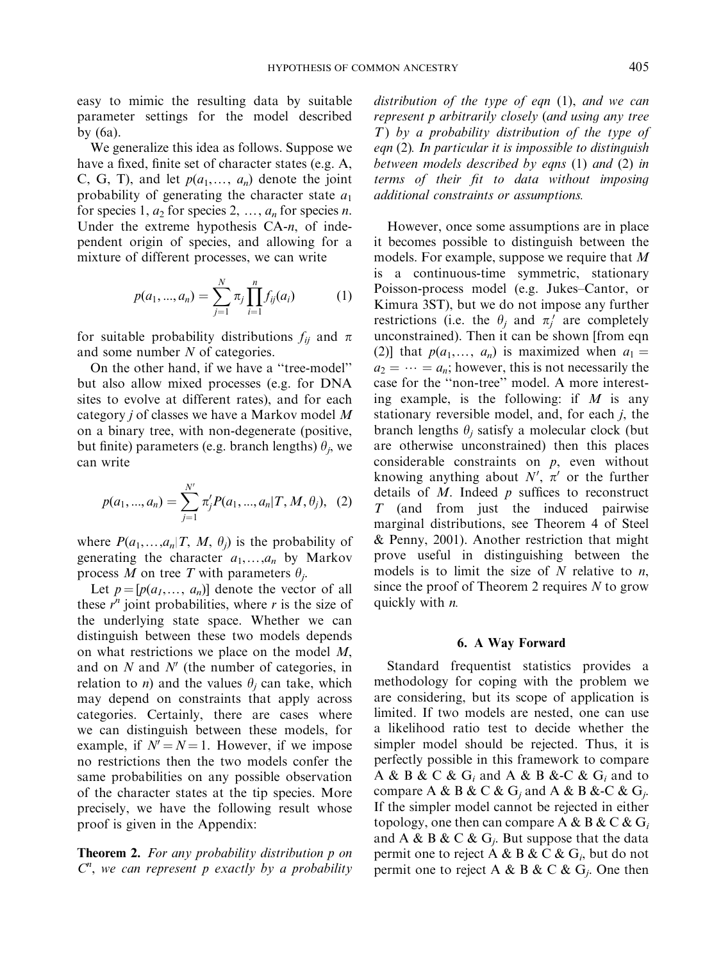<span id="page-10-0"></span>easy to mimic the resulting data by suitable parameter settings for the model described by (6a).

We generalize this idea as follows. Suppose we have a fixed, finite set of character states (e.g. A, C, G, T), and let  $p(a_1, \ldots, a_n)$  denote the joint probability of generating the character state  $a_1$ for species 1,  $a_2$  for species 2, ...,  $a_n$  for species n. Under the extreme hypothesis  $CA-n$ , of independent origin of species, and allowing for a mixture of different processes, we can write

$$
p(a_1, ..., a_n) = \sum_{j=1}^{N} \pi_j \prod_{i=1}^{n} f_{ij}(a_i)
$$
 (1)

for suitable probability distributions  $f_{ii}$  and  $\pi$ and some number N of categories.

On the other hand, if we have a "tree-model" but also allow mixed processes (e.g. for DNA sites to evolve at different rates), and for each category j of classes we have a Markov model M on a binary tree, with non-degenerate (positive, but finite) parameters (e.g. branch lengths)  $\theta_i$ , we can write

$$
p(a_1, ..., a_n) = \sum_{j=1}^{N'} \pi'_j P(a_1, ..., a_n | T, M, \theta_j), \tag{2}
$$

where  $P(a_1,\ldots,a_n|T, M, \theta_i)$  is the probability of generating the character  $a_1, \ldots, a_n$  by Markov process M on tree T with parameters  $\theta_i$ .

Let  $p = [p(a_1, \ldots, a_n)]$  denote the vector of all these  $r^n$  joint probabilities, where r is the size of the underlying state space. Whether we can distinguish between these two models depends on what restrictions we place on the model M, and on  $N$  and  $N'$  (the number of categories, in relation to *n*) and the values  $\theta_i$  can take, which may depend on constraints that apply across categories. Certainly, there are cases where we can distinguish between these models, for example, if  $N' = N = 1$ . However, if we impose no restrictions then the two models confer the same probabilities on any possible observation of the character states at the tip species. More precisely, we have the following result whose proof is given in the [Appendix:](#page-12-0)

Theorem 2. For any probability distribution p on  $C<sup>n</sup>$ , we can represent p exactly by a probability

distribution of the type of eqn (1), and we can represent p arbitrarily closely (and using any tree  $T$ ) by a probability distribution of the type of eqn (2). In particular it is impossible to distinguish between models described by eqns (1) and (2) in terms of their fit to data without imposing additional constraints or assumptions.

However, once some assumptions are in place it becomes possible to distinguish between the models. For example, suppose we require that M is a continuous-time symmetric, stationary Poisson-process model (e.g. Jukes–Cantor, or Kimura 3ST), but we do not impose any further restrictions (i.e. the  $\theta_j$  and  $\pi'_j$  are completely unconstrained). Then it can be shown [from eqn (2)] that  $p(a_1,..., a_n)$  is maximized when  $a_1 =$  $a_2 = \cdots = a_n$ ; however, this is not necessarily the case for the ''non-tree'' model. A more interesting example, is the following: if  $M$  is any stationary reversible model, and, for each  $j$ , the branch lengths  $\theta_i$  satisfy a molecular clock (but are otherwise unconstrained) then this places considerable constraints on  $p$ , even without knowing anything about  $N'$ ,  $\pi'$  or the further details of  $M$ . Indeed  $p$  suffices to reconstruct T (and from just the induced pairwise marginal distributions, see Theorem 4 of [Steel](#page-12-0) [& Penny, 2001\)](#page-12-0). Another restriction that might prove useful in distinguishing between the models is to limit the size of  $N$  relative to  $n$ , since the proof of Theorem 2 requires  $N$  to grow quickly with *n*.

#### 6. A Way Forward

Standard frequentist statistics provides a methodology for coping with the problem we are considering, but its scope of application is limited. If two models are nested, one can use a likelihood ratio test to decide whether the simpler model should be rejected. Thus, it is perfectly possible in this framework to compare A & B & C & G<sub>i</sub> and A & B &-C & G<sub>i</sub> and to compare A & B & C & G<sub>i</sub> and A & B & C & G<sub>i</sub>. If the simpler model cannot be rejected in either topology, one then can compare A & B & C &  $G_i$ and A & B & C & G<sub>i</sub>. But suppose that the data permit one to reject A & B & C &  $G_i$ , but do not permit one to reject A & B & C &  $G_i$ . One then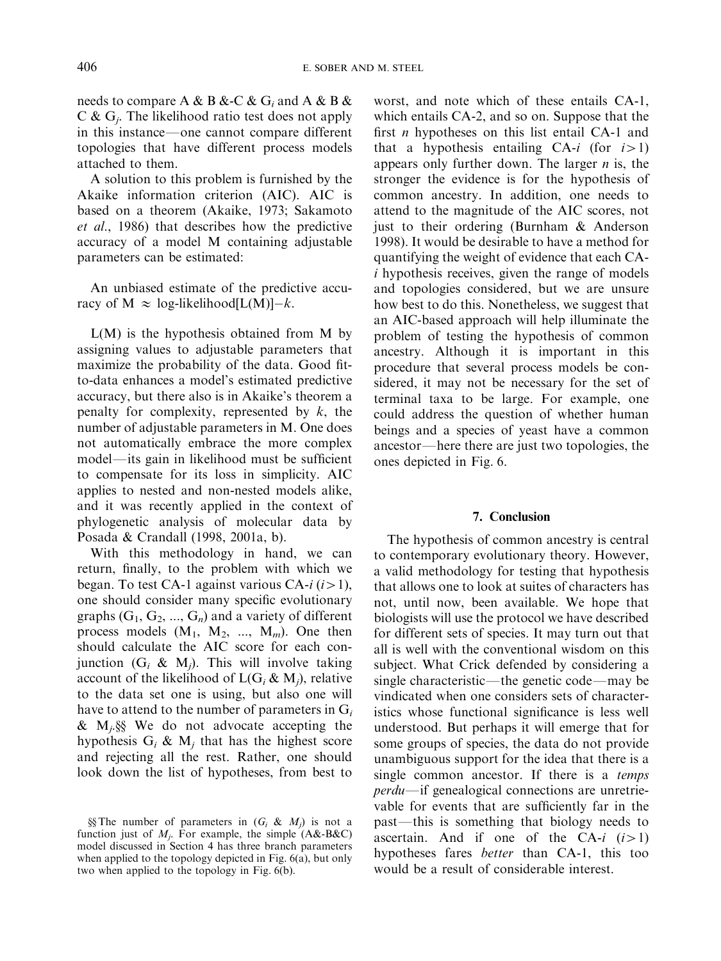needs to compare A & B &-C & G<sub>i</sub> and A & B &  $C \& G_i$ . The likelihood ratio test does not apply in this instance—one cannot compare different topologies that have different process models attached to them.

A solution to this problem is furnished by the Akaike information criterion (AIC). AIC is based on a theorem [\(Akaike, 1973; Sakamoto](#page-12-0) et al[., 1986\)](#page-12-0) that describes how the predictive accuracy of a model M containing adjustable parameters can be estimated:

An unbiased estimate of the predictive accuracy of M  $\approx$  log-likelihood[L(M)]-k.

L(M) is the hypothesis obtained from M by assigning values to adjustable parameters that maximize the probability of the data. Good fitto-data enhances a model's estimated predictive accuracy, but there also is in Akaike's theorem a penalty for complexity, represented by  $k$ , the number of adjustable parameters in M. One does not automatically embrace the more complex model—its gain in likelihood must be sufficient to compensate for its loss in simplicity. AIC applies to nested and non-nested models alike, and it was recently applied in the context of phylogenetic analysis of molecular data by [Posada & Crandall \(1998, 2001a, b\)](#page-12-0).

With this methodology in hand, we can return, finally, to the problem with which we began. To test CA-1 against various CA- $i$  ( $i>1$ ), one should consider many specific evolutionary graphs  $(G_1, G_2, ..., G_n)$  and a variety of different process models  $(M_1, M_2, ..., M_m)$ . One then should calculate the AIC score for each conjunction  $(G_i \& M_j)$ . This will involve taking account of the likelihood of  $L(G_i \& M_i)$ , relative to the data set one is using, but also one will have to attend to the number of parameters in  $G_i$ &  $M_i$ . We do not advocate accepting the hypothesis  $G_i$  & M<sub>i</sub> that has the highest score and rejecting all the rest. Rather, one should look down the list of hypotheses, from best to

worst, and note which of these entails CA-1, which entails CA-2, and so on. Suppose that the first *n* hypotheses on this list entail  $CA-1$  and that a hypothesis entailing  $CA-i$  (for  $i>1$ ) appears only further down. The larger  $n$  is, the stronger the evidence is for the hypothesis of common ancestry. In addition, one needs to attend to the magnitude of the AIC scores, not just to their ordering [\(Burnham & Anderson](#page-12-0) [1998\).](#page-12-0) It would be desirable to have a method for quantifying the weight of evidence that each CAi hypothesis receives, given the range of models and topologies considered, but we are unsure how best to do this. Nonetheless, we suggest that an AIC-based approach will help illuminate the problem of testing the hypothesis of common ancestry. Although it is important in this procedure that several process models be considered, it may not be necessary for the set of terminal taxa to be large. For example, one could address the question of whether human beings and a species of yeast have a common ancestor—here there are just two topologies, the ones depicted in [Fig. 6.](#page-9-0)

#### 7. Conclusion

The hypothesis of common ancestry is central to contemporary evolutionary theory. However, a valid methodology for testing that hypothesis that allows one to look at suites of characters has not, until now, been available. We hope that biologists will use the protocol we have described for different sets of species. It may turn out that all is well with the conventional wisdom on this subject. What Crick defended by considering a single characteristic—the genetic code—may be vindicated when one considers sets of characteristics whose functional significance is less well understood. But perhaps it will emerge that for some groups of species, the data do not provide unambiguous support for the idea that there is a single common ancestor. If there is a *temps*  $perdu$ —if genealogical connections are unretrievable for events that are sufficiently far in the past—this is something that biology needs to ascertain. And if one of the  $CA-i$   $(i>1)$ hypotheses fares better than CA-1, this too would be a result of considerable interest.

 $\frac{1}{2}$  SS The number of parameters in  $(G_i \& M_i)$  is not a function just of  $M_i$ . For example, the simple  $(AA - BAC)$ model discussed in Section 4 has three branch parameters when applied to the topology depicted in Fig. 6(a), but only two when applied to the topology in Fig. 6(b).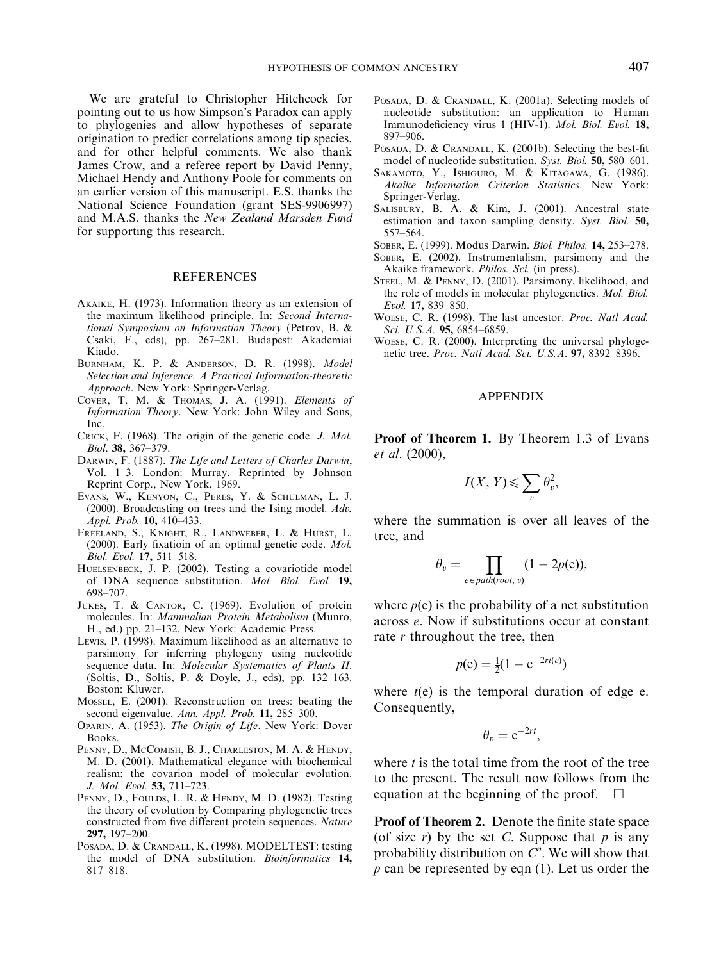<span id="page-12-0"></span>We are grateful to Christopher Hitchcock for pointing out to us how Simpson's Paradox can apply to phylogenies and allow hypotheses of separate origination to predict correlations among tip species, and for other helpful comments. We also thank James Crow, and a referee report by David Penny, Michael Hendy and Anthony Poole for comments on an earlier version of this manuscript. E.S. thanks the National Science Foundation (grant SES-9906997) and M.A.S. thanks the New Zealand Marsden Fund for supporting this research.

#### **REFERENCES**

- AKAIKE, H. (1973). Information theory as an extension of the maximum likelihood principle. In: Second International Symposium on Information Theory (Petrov, B. & Csaki, F., eds), pp. 267–281. Budapest: Akademiai Kiado.
- BURNHAM, K. P. & ANDERSON, D. R. (1998). Model Selection and Inference. A Practical Information-theoretic Approach. New York: Springer-Verlag.
- COVER, T. M. & THOMAS, J. A. (1991). Elements of Information Theory. New York: John Wiley and Sons, Inc.
- CRICK, F. (1968). The origin of the genetic code. J. Mol. Biol. 38, 367–379.
- DARWIN, F. (1887). The Life and Letters of Charles Darwin, Vol. 1–3. London: Murray. Reprinted by Johnson Reprint Corp., New York, 1969.
- EVANS, W., KENYON, C., PERES, Y. & SCHULMAN, L. J. (2000). Broadcasting on trees and the Ising model. Adv. Appl. Prob. 10, 410–433.
- FREELAND, S., KNIGHT, R., LANDWEBER, L. & HURST, L. (2000). Early fixatioin of an optimal genetic code. Mol. Biol. Evol. 17, 511–518.
- HUELSENBECK, J. P. (2002). Testing a covariotide model of DNA sequence substitution. Mol. Biol. Evol. 19, 698–707.
- JUKES, T. & CANTOR, C. (1969). Evolution of protein molecules. In: Mammalian Protein Metabolism (Munro, H., ed.) pp. 21–132. New York: Academic Press.
- LEWIS, P. (1998). Maximum likelihood as an alternative to parsimony for inferring phylogeny using nucleotide sequence data. In: Molecular Systematics of Plants II. (Soltis, D., Soltis, P. & Doyle, J., eds), pp. 132–163. Boston: Kluwer.
- MOSSEL, E. (2001). Reconstruction on trees: beating the second eigenvalue. Ann. Appl. Prob. 11, 285–300.
- OPARIN, A. (1953). The Origin of Life. New York: Dover Books.
- PENNY, D., McCOMISH, B. J., CHARLESTON, M. A. & HENDY, M. D. (2001). Mathematical elegance with biochemical realism: the covarion model of molecular evolution. J. Mol. Evol. 53, 711–723.
- PENNY, D., FOULDS, L. R. & HENDY, M. D. (1982). Testing the theory of evolution by Comparing phylogenetic trees constructed from five different protein sequences. Nature 297, 197–200.
- POSADA, D. & CRANDALL, K. (1998). MODELTEST: testing the model of DNA substitution. Bioinformatics 14, 817–818.
- POSADA, D. & CRANDALL, K. (2001a). Selecting models of nucleotide substitution: an application to Human Immunodeficiency virus 1 (HIV-1). Mol. Biol. Evol. 18, 897–906.
- POSADA, D. & CRANDALL, K. (2001b). Selecting the best-fit model of nucleotide substitution. Syst. Biol. 50, 580–601.
- SAKAMOTO, Y., ISHIGURO, M. & KITAGAWA, G. (1986). Akaike Information Criterion Statistics. New York: Springer-Verlag.
- SALISBURY, B. A. & Kim, J. (2001). Ancestral state estimation and taxon sampling density. Syst. Biol. 50, 557–564.
- SOBER, E. (1999). Modus Darwin. Biol. Philos. 14, 253–278.
- SOBER, E. (2002). Instrumentalism, parsimony and the Akaike framework. Philos. Sci. (in press).
- STEEL, M. & PENNY, D. (2001). Parsimony, likelihood, and the role of models in molecular phylogenetics. Mol. Biol. Evol. 17, 839–850.
- WOESE, C. R. (1998). The last ancestor. Proc. Natl Acad. Sci. U.S.A. 95, 6854–6859.
- WOESE, C. R. (2000). Interpreting the universal phylogenetic tree. Proc. Natl Acad. Sci. U.S.A. 97, 8392-8396.

#### APPENDIX

Proof of Theorem 1. By Theorem 1.3 of Evans et al. (2000),

$$
I(X, Y) \leq \sum_{v} \theta_v^2,
$$

where the summation is over all leaves of the tree, and

$$
\theta_v = \prod_{e \in path(root, v)} (1 - 2p(e)),
$$

where  $p(e)$  is the probability of a net substitution across e. Now if substitutions occurat constant rate  $r$  throughout the tree, then

$$
p(e) = \frac{1}{2}(1 - e^{-2rt(e)})
$$

where  $t(e)$  is the temporal duration of edge e. Consequently,

$$
\theta_v = \mathrm{e}^{-2rt},
$$

where  $t$  is the total time from the root of the tree to the present. The result now follows from the equation at the beginning of the proof.  $\Box$ 

Proof of Theorem 2. Denote the finite state space (of size r) by the set C. Suppose that  $p$  is any probability distribution on  $\mathcal{C}^n$ . We will show that  $p$  can be represented by [eqn \(1\).](#page-10-0) Let us order the